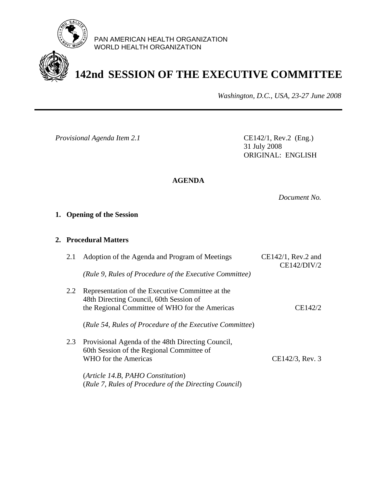

PAN AMERICAN HEALTH ORGANIZATION WORLD HEALTH ORGANIZATION

# **142nd SESSION OF THE EXECUTIVE COMMITTEE**

*Washington, D.C., USA, 23-27 June 2008*

*Provisional Agenda Item 2.1* CE142/1, Rev.2 (Eng.)

31 July 2008 ORIGINAL: ENGLISH

# **AGENDA**

*Document No.* 

# **1. Opening of the Session**

### **2. Procedural Matters**

| $CE142/1$ , Rev.2 and<br>CE142/DIV/2 | Adoption of the Agenda and Program of Meetings                                              | 2.1 |
|--------------------------------------|---------------------------------------------------------------------------------------------|-----|
|                                      | (Rule 9, Rules of Procedure of the Executive Committee)                                     |     |
|                                      | Representation of the Executive Committee at the<br>48th Directing Council, 60th Session of | 2.2 |
| CE142/2                              | the Regional Committee of WHO for the Americas                                              |     |
|                                      | (Rule 54, Rules of Procedure of the Executive Committee)                                    |     |
|                                      | Provisional Agenda of the 48th Directing Council,                                           | 2.3 |
| CE142/3, Rev. 3                      | 60th Session of the Regional Committee of<br><b>WHO</b> for the Americas                    |     |
|                                      | (Article 14.B, PAHO Constitution)                                                           |     |
|                                      | (Rule 7, Rules of Procedure of the Directing Council)                                       |     |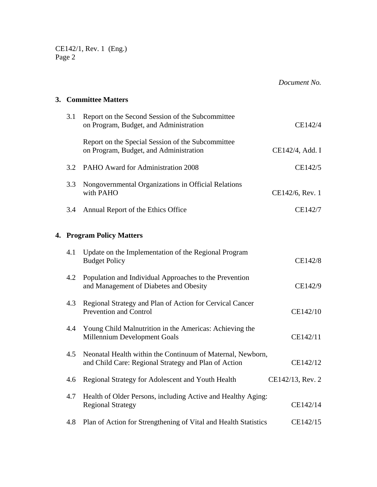CE142/1, Rev. 1 (Eng.) Page 2

*Document No.* 

# **3. Committee Matters**

| 3.1 | Report on the Second Session of the Subcommittee<br>on Program, Budget, and Administration                         | CE142/4          |
|-----|--------------------------------------------------------------------------------------------------------------------|------------------|
|     | Report on the Special Session of the Subcommittee<br>on Program, Budget, and Administration                        | CE142/4, Add. I  |
| 3.2 | PAHO Award for Administration 2008                                                                                 | CE142/5          |
| 3.3 | Nongovernmental Organizations in Official Relations<br>with PAHO                                                   | CE142/6, Rev. 1  |
| 3.4 | Annual Report of the Ethics Office                                                                                 | CE142/7          |
|     | 4. Program Policy Matters                                                                                          |                  |
| 4.1 | Update on the Implementation of the Regional Program<br><b>Budget Policy</b>                                       | CE142/8          |
| 4.2 | Population and Individual Approaches to the Prevention<br>and Management of Diabetes and Obesity                   | CE142/9          |
| 4.3 | Regional Strategy and Plan of Action for Cervical Cancer<br>Prevention and Control                                 | CE142/10         |
| 4.4 | Young Child Malnutrition in the Americas: Achieving the<br>Millennium Development Goals                            | CE142/11         |
| 4.5 | Neonatal Health within the Continuum of Maternal, Newborn,<br>and Child Care: Regional Strategy and Plan of Action | CE142/12         |
| 4.6 | Regional Strategy for Adolescent and Youth Health                                                                  | CE142/13, Rev. 2 |
| 4.7 | Health of Older Persons, including Active and Healthy Aging:<br><b>Regional Strategy</b>                           | CE142/14         |
| 4.8 | Plan of Action for Strengthening of Vital and Health Statistics                                                    | CE142/15         |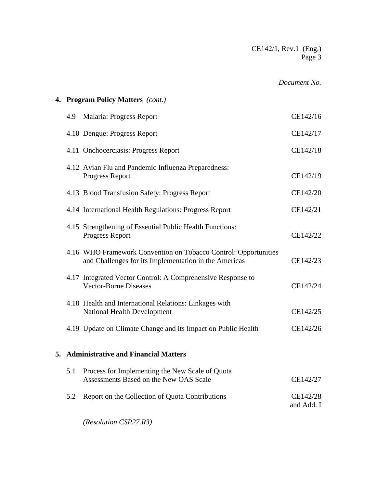CE142/1, Rev.1 (Eng.) Page 3

#### *Document No.*

# **4. Program Policy Matters** *(cont.)*  4.9 Malaria: Progress Report CE142/16 4.10 Dengue: Progress Report CE142/17 4.11 Onchocerciasis: Progress Report CE142/18 4.12 Avian Flu and Pandemic Influenza Preparedness: Progress Report CE142/19 4.13 Blood Transfusion Safety: Progress Report CE142/20 4.14 International Health Regulations: Progress Report CE142/21 4.15 Strengthening of Essential Public Health Functions: Progress Report CE142/22 4.16 WHO Framework Convention on Tobacco Control: Opportunities and Challenges for its Implementation in the Americas CE142/23 4.17 Integrated Vector Control: A Comprehensive Response to Vector-Borne Diseases CE142/24 4.18 Health and International Relations: Linkages with National Health Development CE142/25 4.19 Update on Climate Change and its Impact on Public Health CE142/26 **5. Administrative and Financial Matters** 5.1 Process for Implementing the New Scale of Quota Assessments Based on the New OAS Scale CE142/27 5.2 Report on the Collection of Quota Contributions CE142/28 and Add. I

*(Resolution CSP27.R3)*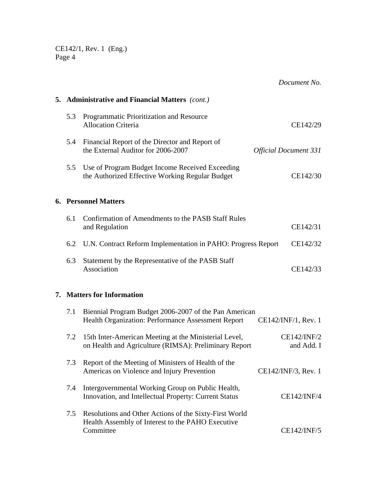CE142/1, Rev. 1 (Eng.) Page 4

*Document No.*  **5. Administrative and Financial Matters** *(cont.)*  5.3 Programmatic Prioritization and Resource Allocation Criteria CE142/29 5.4 Financial Report of the Director and Report of the External Auditor for 2006-2007 *Official Document 331*  5.5 Use of Program Budget Income Received Exceeding the Authorized Effective Working Regular Budget CE142/30 **6. Personnel Matters**  6.1 Confirmation of Amendments to the PASB Staff Rules and Regulation CE142/31 6.2 U.N. Contract Reform Implementation in PAHO: Progress Report CE142/32 6.3 Statement by the Representative of the PASB Staff Association CE142/33 **7. Matters for Information** 7.1 Biennial Program Budget 2006-2007 of the Pan American Health Organization: Performance Assessment Report CE142/INF/1, Rev. 1 7.2 15th Inter-American Meeting at the Ministerial Level, CE142/INF/2 on Health and Agriculture (RIMSA): Preliminary Report and Add. I 7.3 Report of the Meeting of Ministers of Health of the Americas on Violence and Injury Prevention CE142/INF/3, Rev. 1 7.4 Intergovernmental Working Group on Public Health, Innovation, and Intellectual Property: Current Status CE142/INF/4 7.5 Resolutions and Other Actions of the Sixty-First World Health Assembly of Interest to the PAHO Executive Committee CE142/INF/5